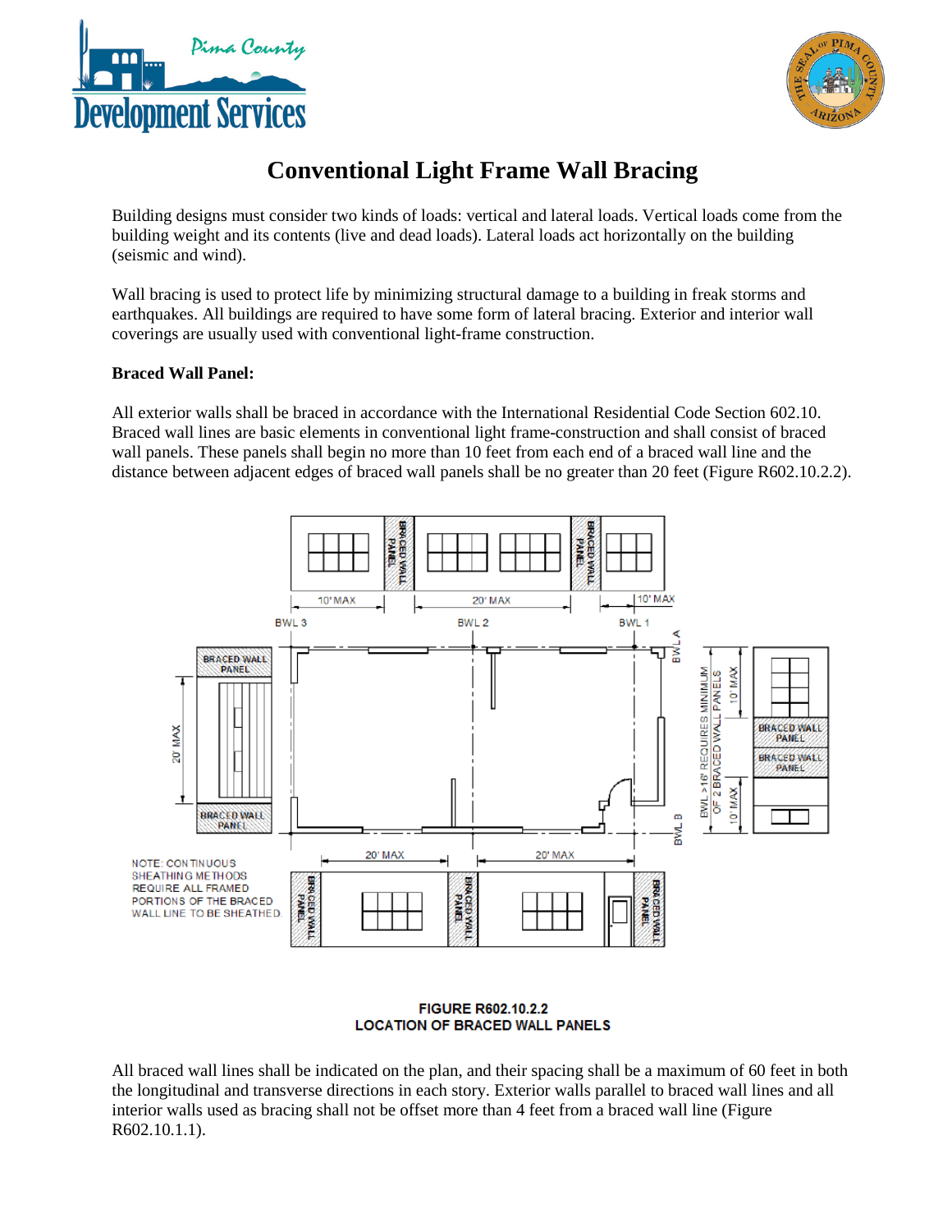



# **Conventional Light Frame Wall Bracing**

Building designs must consider two kinds of loads: vertical and lateral loads. Vertical loads come from the building weight and its contents (live and dead loads). Lateral loads act horizontally on the building (seismic and wind).

Wall bracing is used to protect life by minimizing structural damage to a building in freak storms and earthquakes. All buildings are required to have some form of lateral bracing. Exterior and interior wall coverings are usually used with conventional light-frame construction.

### **Braced Wall Panel:**

All exterior walls shall be braced in accordance with the International Residential Code Section 602.10. Braced wall lines are basic elements in conventional light frame-construction and shall consist of braced wall panels. These panels shall begin no more than 10 feet from each end of a braced wall line and the distance between adjacent edges of braced wall panels shall be no greater than 20 feet (Figure R602.10.2.2).



#### **FIGURE R602.10.2.2 LOCATION OF BRACED WALL PANELS**

All braced wall lines shall be indicated on the plan, and their spacing shall be a maximum of 60 feet in both the longitudinal and transverse directions in each story. Exterior walls parallel to braced wall lines and all interior walls used as bracing shall not be offset more than 4 feet from a braced wall line (Figure R602.10.1.1).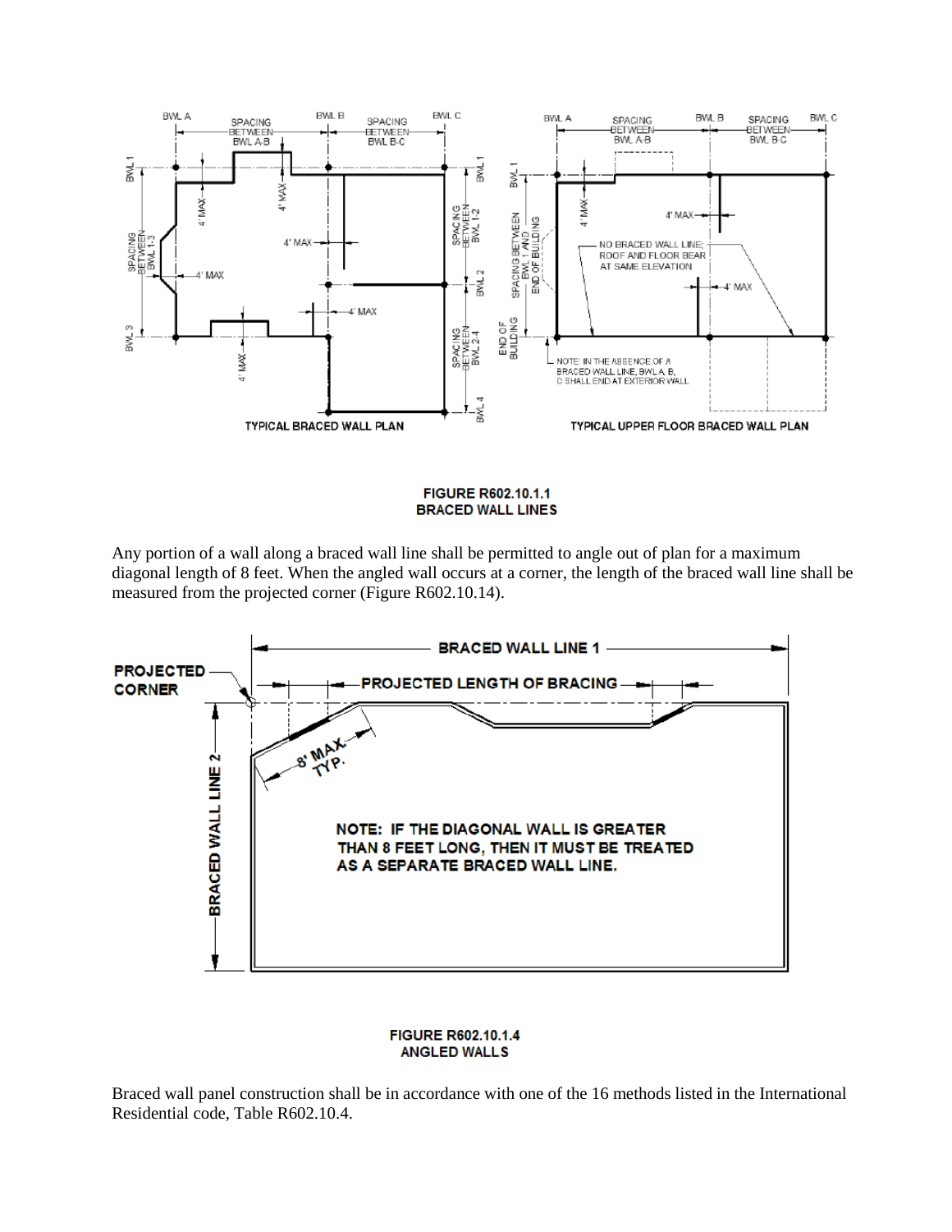

FIGURE R602.10.1.1 **BRACED WALL LINES** 

Any portion of a wall along a braced wall line shall be permitted to angle out of plan for a maximum diagonal length of 8 feet. When the angled wall occurs at a corner, the length of the braced wall line shall be measured from the projected corner (Figure R602.10.14).



#### **FIGURE R602.10.1.4 ANGLED WALLS**

Braced wall panel construction shall be in accordance with one of the 16 methods listed in the International Residential code, Table R602.10.4.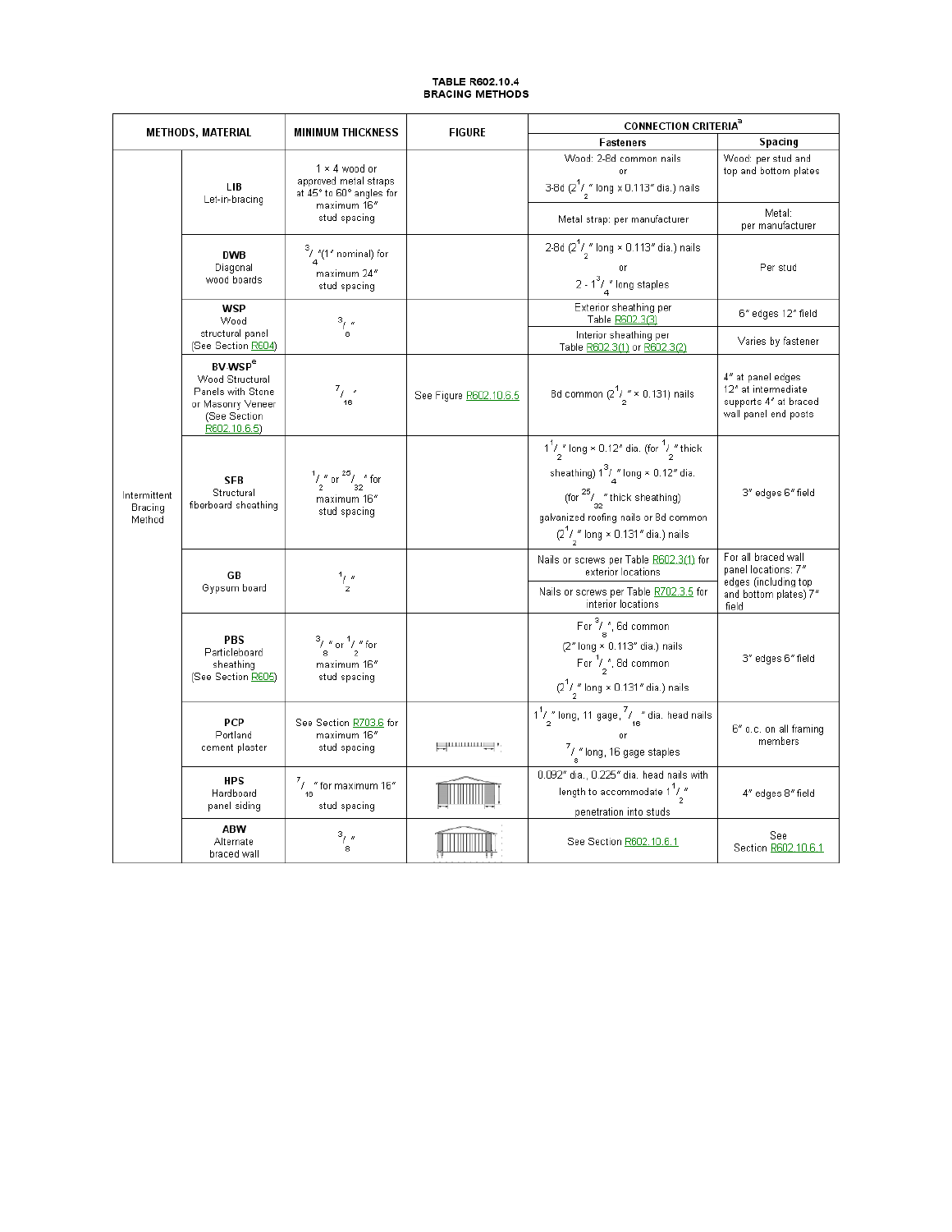# TABLE R602.10.4<br>BRACING METHODS

| <b>METHODS, MATERIAL</b>          |                                                                                                                        | <b>MINIMUM THICKNESS</b>                                                                                 | <b>FIGURE</b>              | <b>CONNECTION CRITERIA<sup>3</sup></b>                                                                                                                                                                                                          |                                                                                                      |
|-----------------------------------|------------------------------------------------------------------------------------------------------------------------|----------------------------------------------------------------------------------------------------------|----------------------------|-------------------------------------------------------------------------------------------------------------------------------------------------------------------------------------------------------------------------------------------------|------------------------------------------------------------------------------------------------------|
|                                   |                                                                                                                        |                                                                                                          |                            | <b>Fasteners</b>                                                                                                                                                                                                                                | Spacing                                                                                              |
| Intermittent<br>Bracing<br>Method | LІВ<br>Let-in-bracing                                                                                                  | $1 \times 4$ wood or<br>approved metal straps<br>at 45° to 60° angles for<br>maximum 16"<br>stud spacing |                            | Wood: 2-8d common nails<br>nr<br>3-8d (2 $\frac{1}{2}$ " long x 0.113" dia.) nails                                                                                                                                                              | Wood: per stud and<br>top and bottom plates                                                          |
|                                   |                                                                                                                        |                                                                                                          |                            | Metal strap: per manufacturer                                                                                                                                                                                                                   | Metal:<br>per manufacturer                                                                           |
|                                   | <b>DWB</b><br>Diagonal<br>wood boards                                                                                  | $\frac{3}{4}$ "(1" nominal) for<br>maximum 24"<br>stud spacing                                           |                            | 2-8d (2 <sup>1</sup> / <sub>2</sub> " long × 0.113" dia.) nails<br>or<br>2 - $1^3/$ $\frac{1}{4}$ long staples                                                                                                                                  | Per stud                                                                                             |
|                                   | <b>WSP</b><br>Wood<br>structural panel<br>(See Section R604)                                                           | $\frac{3}{8}$                                                                                            |                            | Exterior sheathing per<br>Table R602.3(3)                                                                                                                                                                                                       | 6" edges 12" field                                                                                   |
|                                   |                                                                                                                        |                                                                                                          |                            | Interior sheathing per<br>Table R602.3(1) or R602.3(2)                                                                                                                                                                                          | Varies by fastener                                                                                   |
|                                   | <b>BV WSP<sup>e</sup></b><br>Wood Structural<br>Panels with Stone<br>or Masonry Veneer<br>(See Section<br>R602.10.6.5) | $\frac{7}{16}$ "                                                                                         | See Figure R602.10.6.5     | 8d common $(2^{1}/\frac{r}{2} \times 0.131)$ nails                                                                                                                                                                                              | 4" at panel edges<br>12" at intermediate<br>supports 4" at braced<br>wall panel end posts            |
|                                   | <b>SFB</b><br>Structural<br>fiberboard sheathing                                                                       | $\frac{1}{2}$ " or $\frac{25}{32}$ " for<br>maximum 16"<br>stud spacing                                  |                            | $1^1/\frac{1}{2}$ long × 0.12" dia. (for $1/\frac{1}{2}$ " thick<br>sheathing) $1^3/\frac{s}{4}$ long × 0.12" dia.<br>(for $\frac{25}{32}$ " thick sheathing)<br>galvanized roofing nails or 8d common<br>$(2^1/2^n)$ long × 0.131" dia.) nails | 3" edges 6" field                                                                                    |
|                                   | GB<br>Gypsum board                                                                                                     | $\frac{1}{2}$                                                                                            |                            | Nails or screws per Table R602.3(1) for<br>exterior locations<br>Nails or screws per Table R702.3.5 for<br>interior locations                                                                                                                   | For all braced wall<br>panel locations: 7"<br>edges (including top<br>and bottom plates) 7"<br>field |
|                                   | PBS<br>Particleboard<br>sheathing<br>(See Section R605)                                                                | $\frac{3}{8}$ / " or $\frac{1}{2}$ " for<br>maximum 16"<br>stud spacing                                  |                            | For $\frac{3}{8}$ , 6d common<br>(2" long × 0.113" dia.) nails<br>For $\frac{1}{2}$ , 8d common<br>$(2^1/\sqrt[n]{\log x} 0.131^n \text{ dia.})$ nails                                                                                          | 3" edges 6" field                                                                                    |
|                                   | <b>PCP</b><br>Portland<br>cement plaster                                                                               | See Section R703.6 for<br>maximum 16"<br>stud spacing                                                    | د پيدائش به است.<br>مواليد | $\frac{11}{2}$ " long, 11 gage, $\frac{7}{16}$ " dia. head nails<br>$\frac{7}{8}$ " long, 16 gage staples                                                                                                                                       | 6" o.c. on all framing<br>members                                                                    |
|                                   | HPS<br>Hardboard<br>panel siding                                                                                       | $\frac{7}{16}$ " for maximum 16"<br>stud spacing                                                         |                            | 0.092" dia., 0.225" dia. head nails with<br>length to accommodate $1^7/$<br>penetration into studs                                                                                                                                              | 4" edges 8" field                                                                                    |
|                                   | ABW<br>Alternate<br>braced wall                                                                                        | $\frac{3}{8}$                                                                                            |                            | See Section R602.10.6.1                                                                                                                                                                                                                         | See<br>Section R602.10.6.1                                                                           |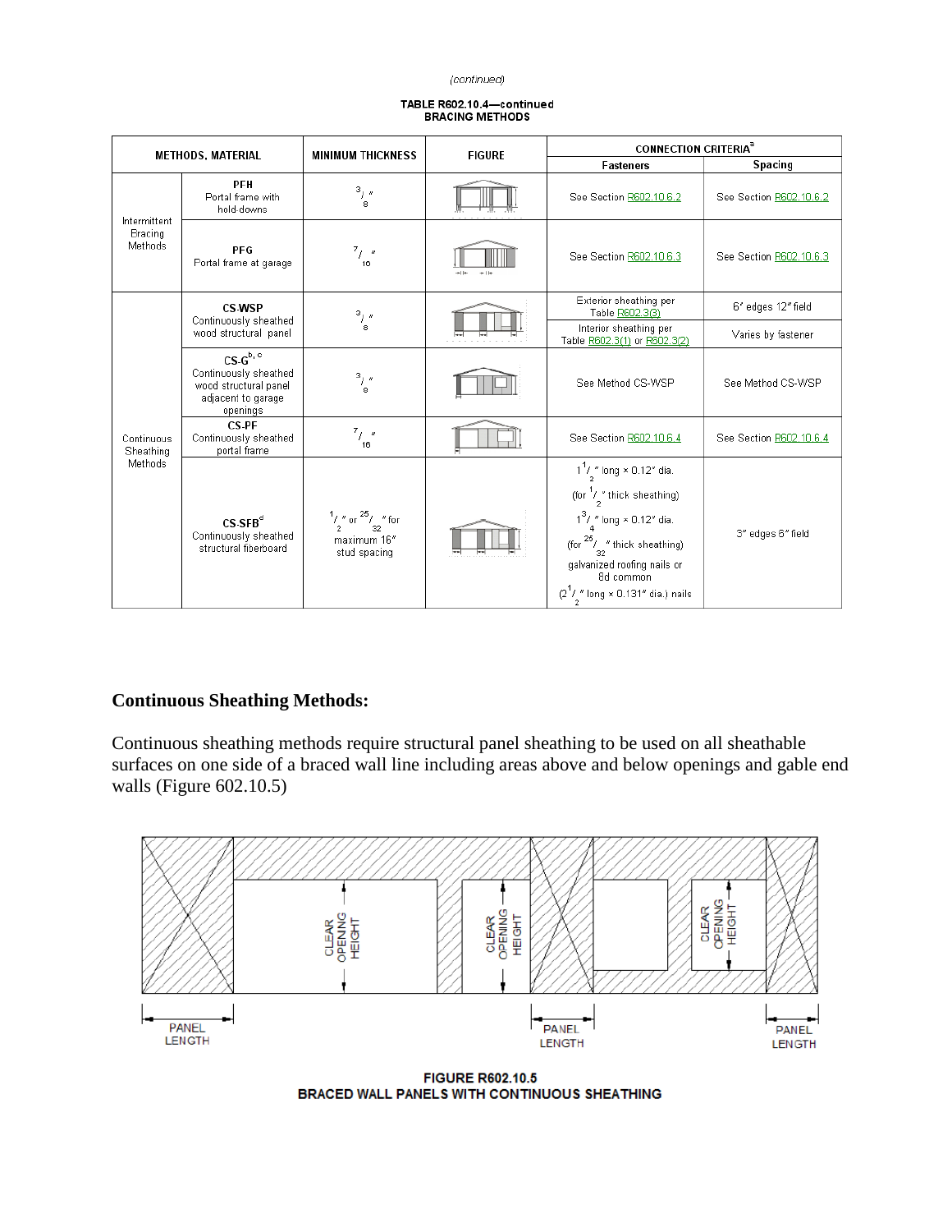(continued)

| FABLE R602.10.4—continued |
|---------------------------|
| <b>BRACING METHODS</b>    |

| <b>METHODS, MATERIAL</b>           |                                                                                                  | <b>MINIMUM THICKNESS</b>                                                | <b>FIGURE</b> | <b>CONNECTION CRITERIA<sup>®</sup></b>                                                                                                                                                                                                                                           |                         |
|------------------------------------|--------------------------------------------------------------------------------------------------|-------------------------------------------------------------------------|---------------|----------------------------------------------------------------------------------------------------------------------------------------------------------------------------------------------------------------------------------------------------------------------------------|-------------------------|
|                                    |                                                                                                  |                                                                         |               | <b>Fasteners</b>                                                                                                                                                                                                                                                                 | Spacing                 |
| Intermittent<br>Bracing<br>Methods | <b>PFH</b><br>Portal frame with<br>hold-downs                                                    | 3/<br>8                                                                 |               | See Section R602.10.6.2                                                                                                                                                                                                                                                          | See Section R602.10.6.2 |
|                                    | PFG<br>Portal frame at garage                                                                    | $^{7}$ j = "<br>16                                                      |               | See Section R602.10.6.3                                                                                                                                                                                                                                                          | See Section R602.10.6.3 |
| Continuous<br>Sheathing<br>Methods | CS WSP<br>Continuously sheathed<br>wood structural panel                                         | $\frac{3}{8}$                                                           |               | Exterior sheathing per<br>Table R602.3(3)                                                                                                                                                                                                                                        | 6" edges 12" field      |
|                                    |                                                                                                  |                                                                         |               | Interior sheathing per<br>Table R602.3(1) or R602.3(2)                                                                                                                                                                                                                           | Varies by fastener      |
|                                    | $CS.G^{b,c}$<br>Continuously sheathed<br>wood structural panel<br>adjacent to garage<br>openings | $\frac{3}{8}$                                                           |               | See Method CS-WSP                                                                                                                                                                                                                                                                | See Method CS-WSP       |
|                                    | CS-PF<br>Continuously sheathed<br>portal frame                                                   | $\frac{7}{7}$<br>16                                                     |               | See Section R602.10.6.4                                                                                                                                                                                                                                                          | See Section R602.10.6.4 |
|                                    | $CS$ -SFB $d$<br>Continuously sheathed<br>structural fiberboard                                  | $\frac{1}{2}$ " or $\frac{25}{32}$ " for<br>maximum 16"<br>stud spacing |               | $1^{1}/\frac{1}{2}$ long × 0.12" dia.<br>(for $\frac{1}{2}$ " thick sheathing)<br>$1^3 / \frac{1}{4}$ long × 0.12" dia.<br>(for $\frac{25}{32}$ " thick sheathing)<br>galvanized roofing nails or<br>8d common<br>$(2^1/\frac{\pi}{2} \text{long} \times 0.131 \text{ m})$ nails | 3" edges 6" field       |

## **Continuous Sheathing Methods:**

Continuous sheathing methods require structural panel sheathing to be used on all sheathable surfaces on one side of a braced wall line including areas above and below openings and gable end walls (Figure 602.10.5)



**FIGURE R602.10.5** BRACED WALL PANELS WITH CONTINUOUS SHEATHING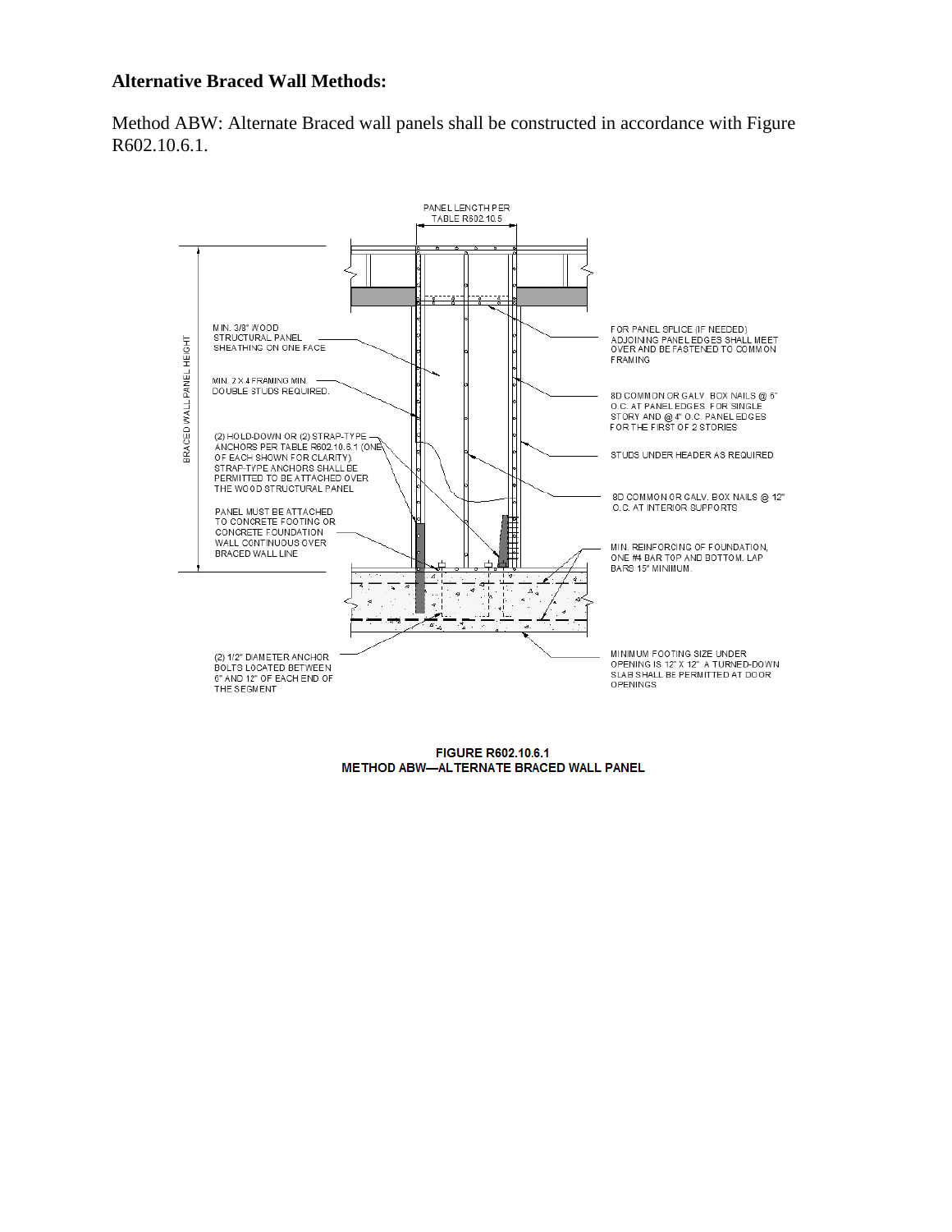### **Alternative Braced Wall Methods:**

Method ABW: Alternate Braced wall panels shall be constructed in accordance with Figure R602.10.6.1.



FIGURE R602.10.6.1 METHOD ABW-ALTERNATE BRACED WALL PANEL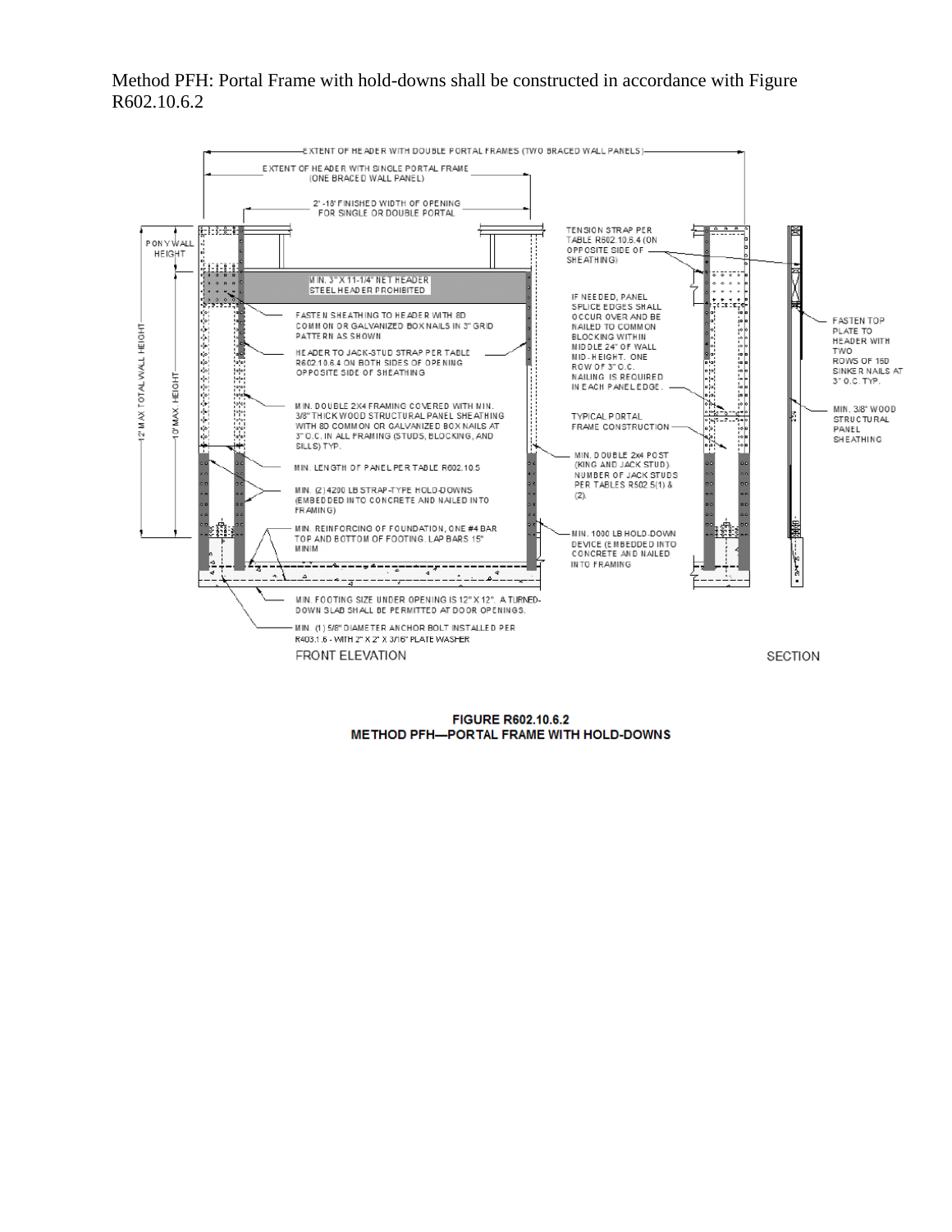### Method PFH: Portal Frame with hold-downs shall be constructed in accordance with Figure R602.10.6.2



**FIGURE R602.10.6.2** METHOD PFH-PORTAL FRAME WITH HOLD-DOWNS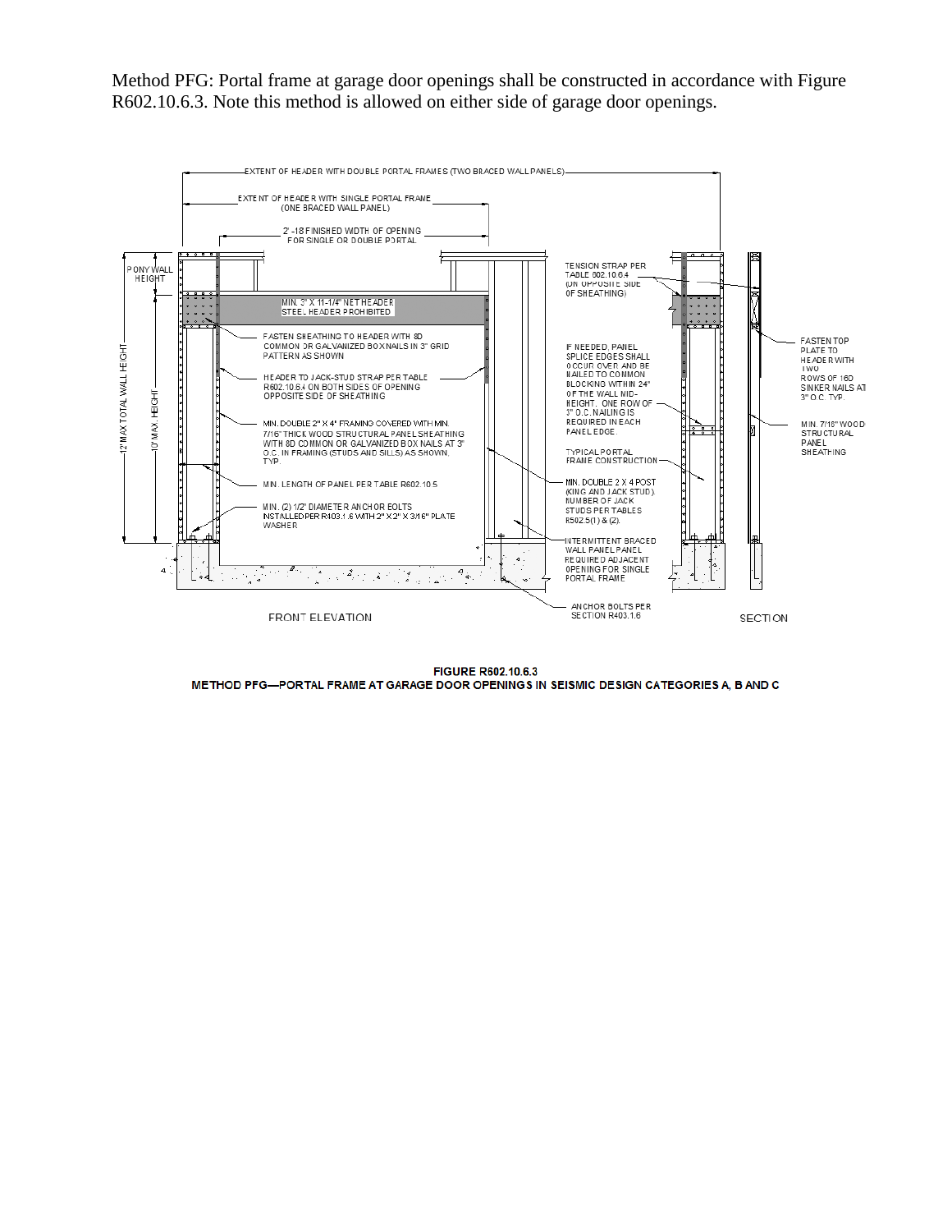Method PFG: Portal frame at garage door openings shall be constructed in accordance with Figure R602.10.6.3. Note this method is allowed on either side of garage door openings.



**FIGURE R602.10.6.3** METHOD PFG-PORTAL FRAME AT GARAGE DOOR OPENINGS IN SEISMIC DESIGN CATEGORIES A, B AND C